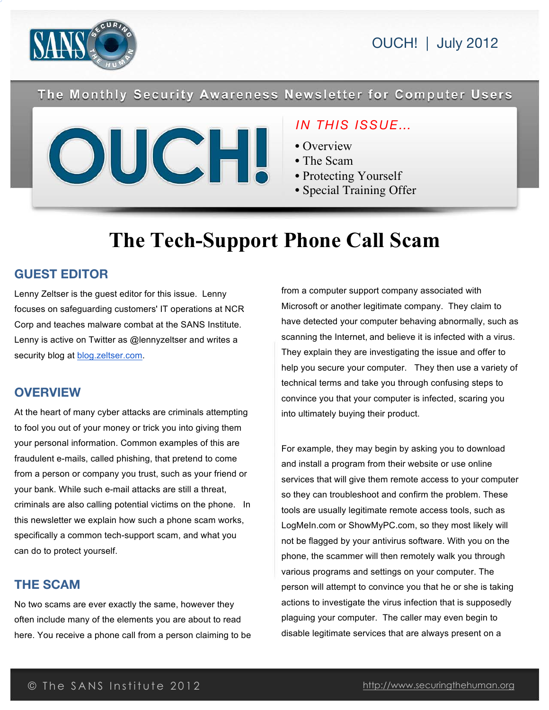

The Monthly Security Awareness Newsletter for Computer Users



# *IN THIS ISSUE…*

- Overview
- The Scam

• Recovery

- Protecting Yourself
- Special Training Offer

# **The Tech-Support Phone Call Scam**

## **GUEST EDITOR**

Lenny Zeltser is the guest editor for this issue. Lenny focuses on safeguarding customers' IT operations at NCR Corp and teaches malware combat at the SANS Institute. Lenny is active on Twitter as @lennyzeltser and writes a security blog at blog.zeltser.com.

## **OVERVIEW**

At the heart of many cyber attacks are criminals attempting to fool you out of your money or trick you into giving them your personal information. Common examples of this are fraudulent e-mails, called phishing, that pretend to come from a person or company you trust, such as your friend or your bank. While such e-mail attacks are still a threat, criminals are also calling potential victims on the phone. In this newsletter we explain how such a phone scam works, specifically a common tech-support scam, and what you can do to protect yourself.

## **THE SCAM**

No two scams are ever exactly the same, however they often include many of the elements you are about to read here. You receive a phone call from a person claiming to be

from a computer support company associated with Microsoft or another legitimate company. They claim to have detected your computer behaving abnormally, such as scanning the Internet, and believe it is infected with a virus. They explain they are investigating the issue and offer to help you secure your computer. They then use a variety of technical terms and take you through confusing steps to convince you that your computer is infected, scaring you into ultimately buying their product.

For example, they may begin by asking you to download and install a program from their website or use online services that will give them remote access to your computer so they can troubleshoot and confirm the problem. These tools are usually legitimate remote access tools, such as LogMeIn.com or ShowMyPC.com, so they most likely will not be flagged by your antivirus software. With you on the phone, the scammer will then remotely walk you through various programs and settings on your computer. The person will attempt to convince you that he or she is taking actions to investigate the virus infection that is supposedly plaguing your computer. The caller may even begin to disable legitimate services that are always present on a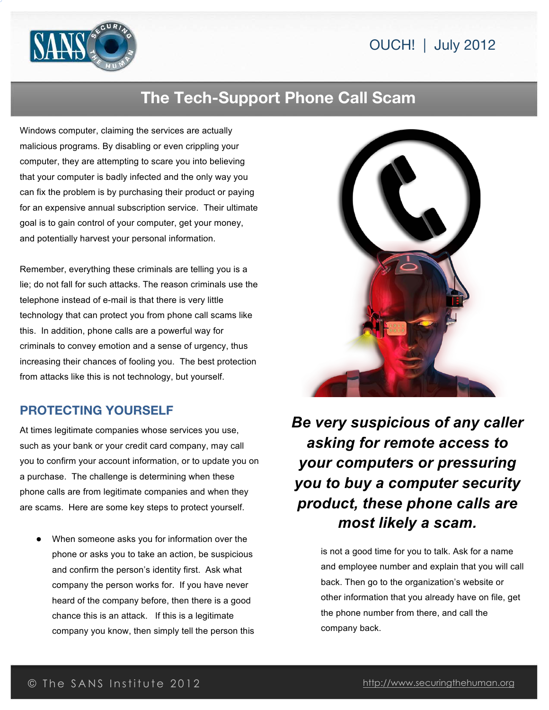

# **The Tech-Support Phone Call Scam**

Windows computer, claiming the services are actually malicious programs. By disabling or even crippling your computer, they are attempting to scare you into believing that your computer is badly infected and the only way you can fix the problem is by purchasing their product or paying for an expensive annual subscription service. Their ultimate goal is to gain control of your computer, get your money, and potentially harvest your personal information.

Remember, everything these criminals are telling you is a lie; do not fall for such attacks. The reason criminals use the telephone instead of e-mail is that there is very little technology that can protect you from phone call scams like this. In addition, phone calls are a powerful way for criminals to convey emotion and a sense of urgency, thus increasing their chances of fooling you. The best protection from attacks like this is not technology, but yourself.

## **PROTECTING YOURSELF**

At times legitimate companies whose services you use, such as your bank or your credit card company, may call you to confirm your account information, or to update you on a purchase. The challenge is determining when these phone calls are from legitimate companies and when they are scams. Here are some key steps to protect yourself.

When someone asks you for information over the phone or asks you to take an action, be suspicious and confirm the person's identity first. Ask what company the person works for. If you have never heard of the company before, then there is a good chance this is an attack. If this is a legitimate company you know, then simply tell the person this



*Be very suspicious of any caller asking for remote access to your computers or pressuring you to buy a computer security product, these phone calls are most likely a scam.*

> is not a good time for you to talk. Ask for a name and employee number and explain that you will call back. Then go to the organization's website or other information that you already have on file, get the phone number from there, and call the company back.